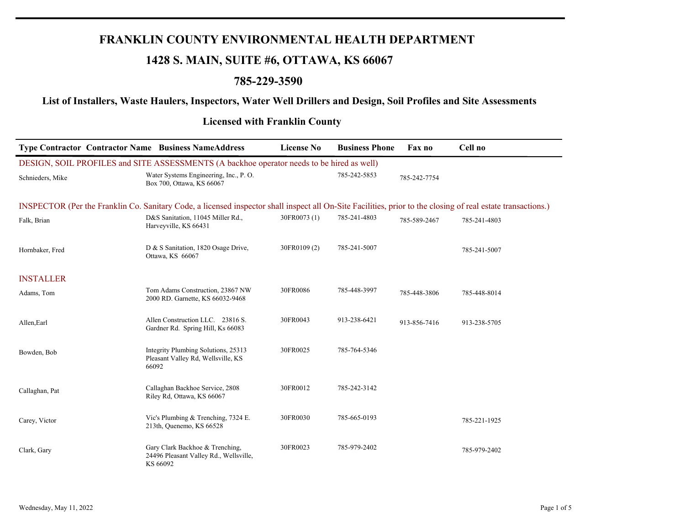## **FRANKLIN COUNTY ENVIRONMENTAL HEALTH DEPARTMENT**

# **1428 S. MAIN, SUITE #6, OTTAWA, KS 66067**

### **785-229-3590**

### **List of Installers, Waste Haulers, Inspectors, Water Well Drillers and Design, Soil Profiles and Site Assessments**

#### **Licensed with Franklin County**

| <b>Type Contractor Contractor Name Business NameAddress</b>                                                                                                  |                                                                                       | <b>License No</b> | <b>Business Phone</b> | Fax no       | Cell no      |  |
|--------------------------------------------------------------------------------------------------------------------------------------------------------------|---------------------------------------------------------------------------------------|-------------------|-----------------------|--------------|--------------|--|
| DESIGN, SOIL PROFILES and SITE ASSESSMENTS (A backhoe operator needs to be hired as well)                                                                    |                                                                                       |                   |                       |              |              |  |
| Schnieders, Mike                                                                                                                                             | Water Systems Engineering, Inc., P.O.<br>Box 700, Ottawa, KS 66067                    |                   | 785-242-5853          | 785-242-7754 |              |  |
| INSPECTOR (Per the Franklin Co. Sanitary Code, a licensed inspector shall inspect all On-Site Facilities, prior to the closing of real estate transactions.) |                                                                                       |                   |                       |              |              |  |
| Falk, Brian                                                                                                                                                  | D&S Sanitation, 11045 Miller Rd.,<br>Harveyville, KS 66431                            | 30FR0073 (1)      | 785-241-4803          | 785-589-2467 | 785-241-4803 |  |
| Hornbaker, Fred                                                                                                                                              | D & S Sanitation, 1820 Osage Drive,<br>Ottawa, KS 66067                               | 30FR0109 (2)      | 785-241-5007          |              | 785-241-5007 |  |
| <b>INSTALLER</b>                                                                                                                                             |                                                                                       |                   |                       |              |              |  |
| Adams, Tom                                                                                                                                                   | Tom Adams Construction, 23867 NW<br>2000 RD. Garnette, KS 66032-9468                  | 30FR0086          | 785-448-3997          | 785-448-3806 | 785-448-8014 |  |
| Allen, Earl                                                                                                                                                  | Allen Construction LLC. 23816 S.<br>Gardner Rd. Spring Hill, Ks 66083                 | 30FR0043          | 913-238-6421          | 913-856-7416 | 913-238-5705 |  |
| Bowden, Bob                                                                                                                                                  | Integrity Plumbing Solutions, 25313<br>Pleasant Valley Rd, Wellsville, KS<br>66092    | 30FR0025          | 785-764-5346          |              |              |  |
| Callaghan, Pat                                                                                                                                               | Callaghan Backhoe Service, 2808<br>Riley Rd, Ottawa, KS 66067                         | 30FR0012          | 785-242-3142          |              |              |  |
| Carey, Victor                                                                                                                                                | Vic's Plumbing & Trenching, 7324 E.<br>213th, Quenemo, KS 66528                       | 30FR0030          | 785-665-0193          |              | 785-221-1925 |  |
| Clark, Gary                                                                                                                                                  | Gary Clark Backhoe & Trenching,<br>24496 Pleasant Valley Rd., Wellsville,<br>KS 66092 | 30FR0023          | 785-979-2402          |              | 785-979-2402 |  |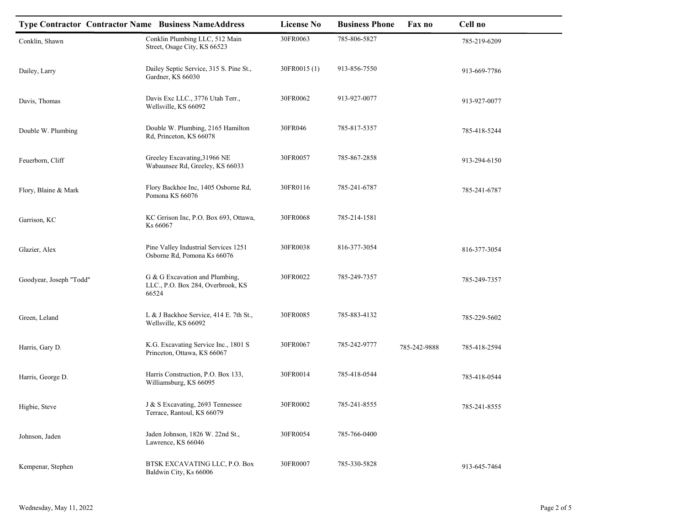| <b>Type Contractor Contractor Name Business NameAddress</b> |                                                                              | <b>License No</b> | <b>Business Phone</b> | Fax no       | Cell no      |
|-------------------------------------------------------------|------------------------------------------------------------------------------|-------------------|-----------------------|--------------|--------------|
| Conklin, Shawn                                              | Conklin Plumbing LLC, 512 Main<br>Street, Osage City, KS 66523               | 30FR0063          | 785-806-5827          |              | 785-219-6209 |
| Dailey, Larry                                               | Dailey Septic Service, 315 S. Pine St.,<br>Gardner, KS 66030                 | 30FR0015 (1)      | 913-856-7550          |              | 913-669-7786 |
| Davis, Thomas                                               | Davis Exc LLC., 3776 Utah Terr.,<br>Wellsville, KS 66092                     | 30FR0062          | 913-927-0077          |              | 913-927-0077 |
| Double W. Plumbing                                          | Double W. Plumbing, 2165 Hamilton<br>Rd, Princeton, KS 66078                 | 30FR046           | 785-817-5357          |              | 785-418-5244 |
| Feuerborn, Cliff                                            | Greeley Excavating, 31966 NE<br>Wabaunsee Rd, Greeley, KS 66033              | 30FR0057          | 785-867-2858          |              | 913-294-6150 |
| Flory, Blaine & Mark                                        | Flory Backhoe Inc, 1405 Osborne Rd,<br>Pomona KS 66076                       | 30FR0116          | 785-241-6787          |              | 785-241-6787 |
| Garrison, KC                                                | KC Grrison Inc, P.O. Box 693, Ottawa,<br>Ks 66067                            | 30FR0068          | 785-214-1581          |              |              |
| Glazier, Alex                                               | Pine Valley Industrial Services 1251<br>Osborne Rd, Pomona Ks 66076          | 30FR0038          | 816-377-3054          |              | 816-377-3054 |
| Goodyear, Joseph "Todd"                                     | G & G Excavation and Plumbing,<br>LLC., P.O. Box 284, Overbrook, KS<br>66524 | 30FR0022          | 785-249-7357          |              | 785-249-7357 |
| Green, Leland                                               | L & J Backhoe Service, 414 E. 7th St.,<br>Wellsville, KS 66092               | 30FR0085          | 785-883-4132          |              | 785-229-5602 |
| Harris, Gary D.                                             | K.G. Excavating Service Inc., 1801 S<br>Princeton, Ottawa, KS 66067          | 30FR0067          | 785-242-9777          | 785-242-9888 | 785-418-2594 |
| Harris, George D.                                           | Harris Construction, P.O. Box 133,<br>Williamsburg, KS 66095                 | 30FR0014          | 785-418-0544          |              | 785-418-0544 |
| Higbie, Steve                                               | J & S Excavating, 2693 Tennessee<br>Terrace, Rantoul, KS 66079               | 30FR0002          | 785-241-8555          |              | 785-241-8555 |
| Johnson, Jaden                                              | Jaden Johnson, 1826 W. 22nd St.,<br>Lawrence, KS 66046                       | 30FR0054          | 785-766-0400          |              |              |
| Kempenar, Stephen                                           | BTSK EXCAVATING LLC, P.O. Box<br>Baldwin City, Ks 66006                      | 30FR0007          | 785-330-5828          |              | 913-645-7464 |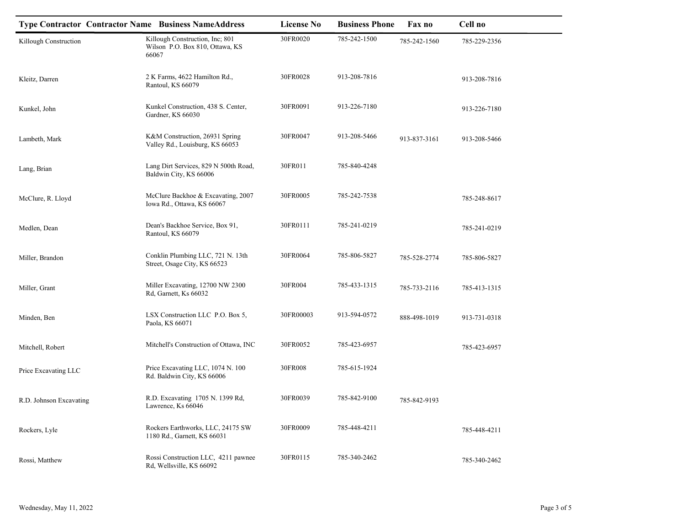|                         |       | <b>Type Contractor Contractor Name Business NameAddress</b>        | <b>License No</b> | <b>Business Phone</b> | Fax no       | Cell no      |
|-------------------------|-------|--------------------------------------------------------------------|-------------------|-----------------------|--------------|--------------|
| Killough Construction   | 66067 | Killough Construction, Inc; 801<br>Wilson P.O. Box 810, Ottawa, KS | 30FR0020          | 785-242-1500          | 785-242-1560 | 785-229-2356 |
| Kleitz, Darren          |       | 2 K Farms, 4622 Hamilton Rd.,<br>Rantoul, KS 66079                 | 30FR0028          | 913-208-7816          |              | 913-208-7816 |
| Kunkel, John            |       | Kunkel Construction, 438 S. Center,<br>Gardner, KS 66030           | 30FR0091          | 913-226-7180          |              | 913-226-7180 |
| Lambeth, Mark           |       | K&M Construction, 26931 Spring<br>Valley Rd., Louisburg, KS 66053  | 30FR0047          | 913-208-5466          | 913-837-3161 | 913-208-5466 |
| Lang, Brian             |       | Lang Dirt Services, 829 N 500th Road,<br>Baldwin City, KS 66006    | 30FR011           | 785-840-4248          |              |              |
| McClure, R. Lloyd       |       | McClure Backhoe & Excavating, 2007<br>Iowa Rd., Ottawa, KS 66067   | 30FR0005          | 785-242-7538          |              | 785-248-8617 |
| Medlen, Dean            |       | Dean's Backhoe Service, Box 91,<br>Rantoul, KS 66079               | 30FR0111          | 785-241-0219          |              | 785-241-0219 |
| Miller, Brandon         |       | Conklin Plumbing LLC, 721 N. 13th<br>Street, Osage City, KS 66523  | 30FR0064          | 785-806-5827          | 785-528-2774 | 785-806-5827 |
| Miller, Grant           |       | Miller Excavating, 12700 NW 2300<br>Rd, Garnett, Ks 66032          | 30FR004           | 785-433-1315          | 785-733-2116 | 785-413-1315 |
| Minden, Ben             |       | LSX Construction LLC P.O. Box 5,<br>Paola, KS 66071                | 30FR00003         | 913-594-0572          | 888-498-1019 | 913-731-0318 |
| Mitchell, Robert        |       | Mitchell's Construction of Ottawa, INC                             | 30FR0052          | 785-423-6957          |              | 785-423-6957 |
| Price Excavating LLC    |       | Price Excavating LLC, 1074 N. 100<br>Rd. Baldwin City, KS 66006    | 30FR008           | 785-615-1924          |              |              |
| R.D. Johnson Excavating |       | R.D. Excavating 1705 N. 1399 Rd,<br>Lawrence, Ks 66046             | 30FR0039          | 785-842-9100          | 785-842-9193 |              |
| Rockers, Lyle           |       | Rockers Earthworks, LLC, 24175 SW<br>1180 Rd., Garnett, KS 66031   | 30FR0009          | 785-448-4211          |              | 785-448-4211 |
| Rossi, Matthew          |       | Rossi Construction LLC, 4211 pawnee<br>Rd, Wellsville, KS 66092    | 30FR0115          | 785-340-2462          |              | 785-340-2462 |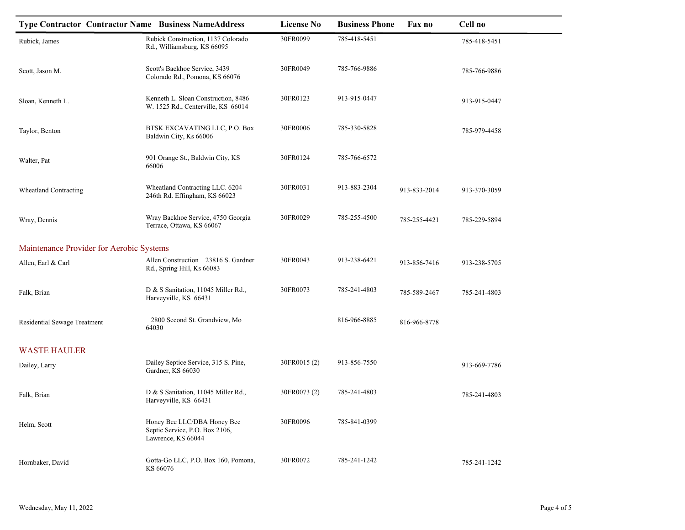| <b>Type Contractor Contractor Name Business NameAddress</b> |                                                                                     | <b>License No</b> | <b>Business Phone</b> | Fax no       | Cell no      |
|-------------------------------------------------------------|-------------------------------------------------------------------------------------|-------------------|-----------------------|--------------|--------------|
| Rubick, James                                               | Rubick Construction, 1137 Colorado<br>Rd., Williamsburg, KS 66095                   | 30FR0099          | 785-418-5451          |              | 785-418-5451 |
| Scott, Jason M.                                             | Scott's Backhoe Service, 3439<br>Colorado Rd., Pomona, KS 66076                     | 30FR0049          | 785-766-9886          |              | 785-766-9886 |
| Sloan, Kenneth L.                                           | Kenneth L. Sloan Construction, 8486<br>W. 1525 Rd., Centerville, KS 66014           | 30FR0123          | 913-915-0447          |              | 913-915-0447 |
| Taylor, Benton                                              | BTSK EXCAVATING LLC, P.O. Box<br>Baldwin City, Ks 66006                             | 30FR0006          | 785-330-5828          |              | 785-979-4458 |
| Walter, Pat                                                 | 901 Orange St., Baldwin City, KS<br>66006                                           | 30FR0124          | 785-766-6572          |              |              |
| Wheatland Contracting                                       | Wheatland Contracting LLC. 6204<br>246th Rd. Effingham, KS 66023                    | 30FR0031          | 913-883-2304          | 913-833-2014 | 913-370-3059 |
| Wray, Dennis                                                | Wray Backhoe Service, 4750 Georgia<br>Terrace, Ottawa, KS 66067                     | 30FR0029          | 785-255-4500          | 785-255-4421 | 785-229-5894 |
| Maintenance Provider for Aerobic Systems                    |                                                                                     |                   |                       |              |              |
| Allen, Earl & Carl                                          | Allen Construction 23816 S. Gardner<br>Rd., Spring Hill, Ks 66083                   | 30FR0043          | 913-238-6421          | 913-856-7416 | 913-238-5705 |
| Falk, Brian                                                 | D & S Sanitation, 11045 Miller Rd.,<br>Harveyville, KS 66431                        | 30FR0073          | 785-241-4803          | 785-589-2467 | 785-241-4803 |
| Residential Sewage Treatment                                | 2800 Second St. Grandview, Mo<br>64030                                              |                   | 816-966-8885          | 816-966-8778 |              |
| <b>WASTE HAULER</b>                                         |                                                                                     |                   |                       |              |              |
| Dailey, Larry                                               | Dailey Septice Service, 315 S. Pine,<br>Gardner, KS 66030                           | 30FR0015(2)       | 913-856-7550          |              | 913-669-7786 |
| Falk, Brian                                                 | D & S Sanitation, 11045 Miller Rd.,<br>Harveyville, KS 66431                        | 30FR0073 (2)      | 785-241-4803          |              | 785-241-4803 |
| Helm, Scott                                                 | Honey Bee LLC/DBA Honey Bee<br>Septic Service, P.O. Box 2106,<br>Lawrence, KS 66044 | 30FR0096          | 785-841-0399          |              |              |
| Hornbaker, David                                            | Gotta-Go LLC, P.O. Box 160, Pomona,<br>KS 66076                                     | 30FR0072          | 785-241-1242          |              | 785-241-1242 |